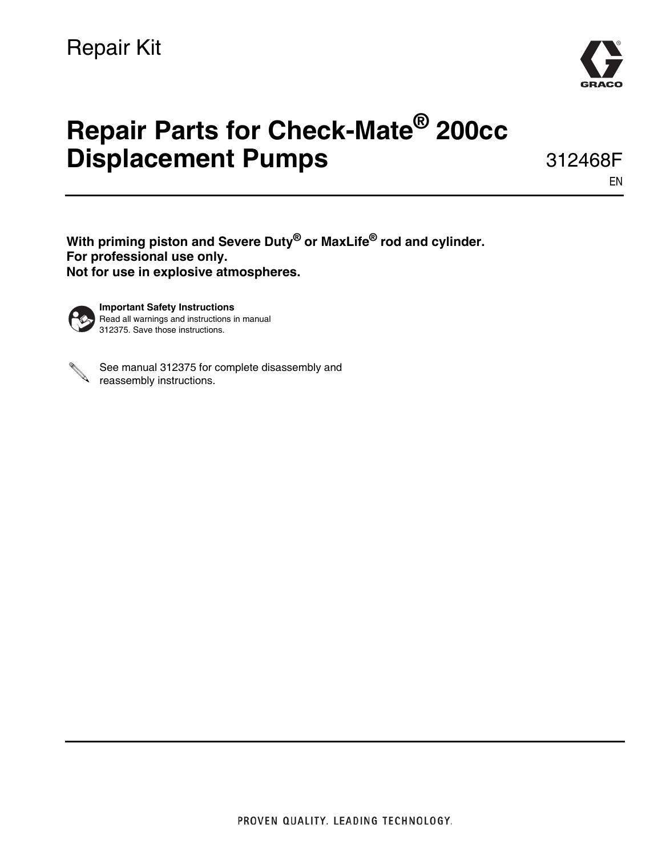

# **Repair Parts for Check-Mate® 200cc Displacement Pumps**

312468F

EN

**With priming piston and Severe Duty® or MaxLife® rod and cylinder. For professional use only. Not for use in explosive atmospheres.**



**Important Safety Instructions** Read all warnings and instructions in manual 312375. Save those instructions.



See manual 312375 for complete disassembly and See manual UTL.<br>reassembly instructions.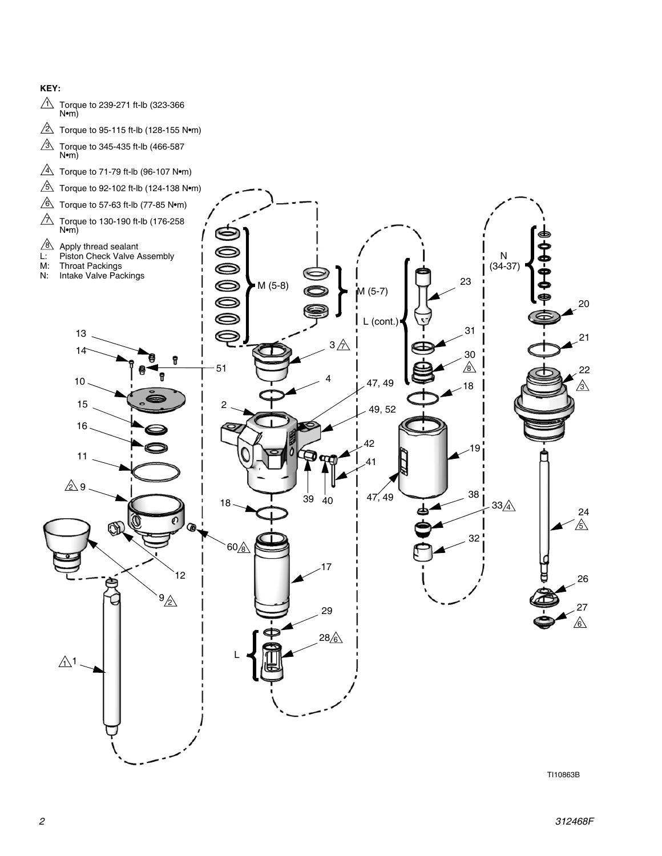#### **KEY:**

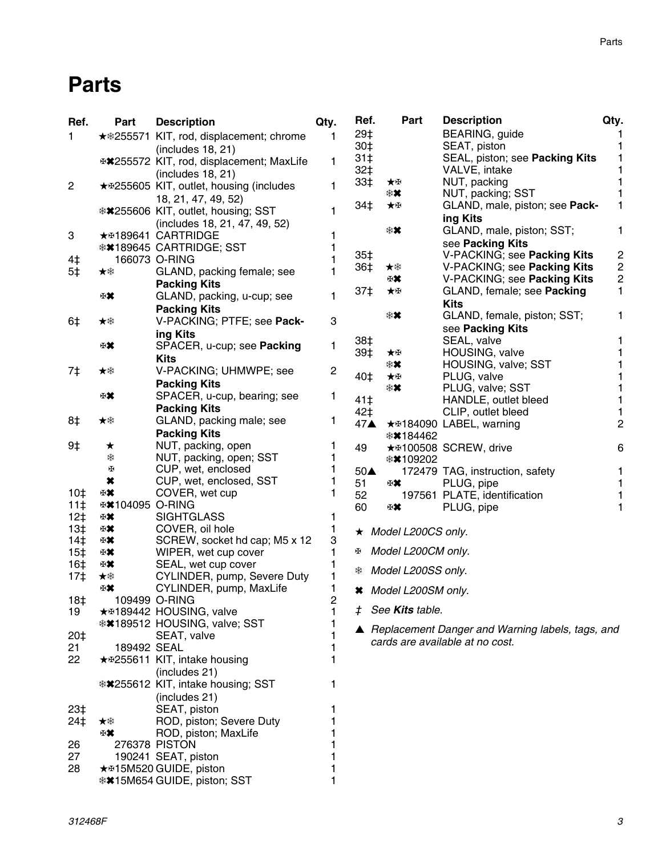# **Parts**

| Ref.            | Part                    | <b>Description</b>                              | Qty.           | Ref.               |    | Part                       | <b>Description</b>                                 | Qty.           |
|-----------------|-------------------------|-------------------------------------------------|----------------|--------------------|----|----------------------------|----------------------------------------------------|----------------|
| $\mathbf{1}$    |                         | <b>★ *255571 KIT, rod, displacement; chrome</b> | 1              | 29‡                |    |                            | BEARING, guide                                     |                |
|                 |                         | (includes 18, 21)                               |                | 30‡                |    |                            | SEAT, piston                                       |                |
|                 |                         | ⊕*255572 KIT, rod, displacement; MaxLife        | 1              | 31 <sup>†</sup>    |    |                            | SEAL, piston; see Packing Kits                     |                |
|                 |                         |                                                 |                | 32‡                |    |                            | VALVE, intake                                      |                |
|                 |                         | (includes 18, 21)                               |                | 33‡                | ★⊞ |                            | NUT, packing                                       |                |
| $\overline{c}$  |                         | ★ #255605 KIT, outlet, housing (includes        | 1              |                    | ∗× |                            | NUT, packing; SST                                  |                |
|                 |                         | 18, 21, 47, 49, 52)                             |                | 34‡                | ★⊞ |                            | GLAND, male, piston; see Pack-                     |                |
|                 |                         | **255606 KIT, outlet, housing; SST              | 1              |                    |    |                            | ing Kits                                           |                |
|                 |                         | (includes 18, 21, 47, 49, 52)                   |                |                    | ∗× |                            | GLAND, male, piston; SST;                          | 1              |
| 3               |                         | ★ #189641 CARTRIDGE                             |                |                    |    |                            | see Packing Kits                                   |                |
|                 |                         | <b>**189645 CARTRIDGE; SST</b>                  |                |                    |    |                            |                                                    |                |
| 4‡              |                         | 166073 O-RING                                   |                | 35‡                |    |                            | V-PACKING; see Packing Kits                        | $\overline{c}$ |
| 5‡              | ★桊                      | GLAND, packing female; see                      | 1              | 36‡                | ★桊 |                            | V-PACKING; see Packing Kits                        | $\overline{c}$ |
|                 |                         | <b>Packing Kits</b>                             |                |                    | 田其 |                            | V-PACKING; see Packing Kits                        | $\overline{c}$ |
|                 | ₩                       | GLAND, packing, u-cup; see                      | 1              | 37‡                | ★⊞ |                            | GLAND, female; see Packing                         | 1              |
|                 |                         | <b>Packing Kits</b>                             |                |                    |    |                            | <b>Kits</b>                                        |                |
| 6‡              | ★桊                      | V-PACKING; PTFE; see Pack-                      | 3              |                    | ∗× |                            | GLAND, female, piston; SST;                        | 1              |
|                 |                         | ing Kits                                        |                |                    |    |                            | see Packing Kits                                   |                |
|                 | ₩                       | SPACER, u-cup; see Packing                      | 1              | 38‡                |    |                            | SEAL, valve                                        |                |
|                 |                         |                                                 |                | 39‡                | ★⊞ |                            | HOUSING, valve                                     |                |
|                 |                         | Kits                                            |                |                    | ∗× |                            | HOUSING, valve; SST                                |                |
| 7‡              | ★举                      | V-PACKING; UHMWPE; see                          | $\overline{c}$ | 40‡                | ★⊞ |                            | PLUG, valve                                        |                |
|                 |                         | <b>Packing Kits</b>                             |                |                    | ∗× |                            | PLUG, valve; SST                                   |                |
|                 | ₩                       | SPACER, u-cup, bearing; see                     | 1              | 41‡                |    |                            | HANDLE, outlet bleed                               |                |
|                 |                         | <b>Packing Kits</b>                             |                | 42‡                |    |                            | CLIP, outlet bleed                                 |                |
| 8‡              | ★桊                      | GLAND, packing male; see                        | 1              | 47▲                |    |                            | ★ \$184090 LABEL, warning                          | $\overline{c}$ |
|                 |                         | <b>Packing Kits</b>                             |                |                    |    | <b>**184462</b>            |                                                    |                |
| 9‡              | $\star$                 | NUT, packing, open                              |                | 49                 |    |                            | ★ #100508 SCREW, drive                             | 6              |
|                 | *                       | NUT, packing, open; SST                         | 1              |                    |    | <b>**109202</b>            |                                                    |                |
|                 | H                       | CUP, wet, enclosed                              | 1              | $50\blacktriangle$ |    |                            | 172479 TAG, instruction, safety                    |                |
|                 | ×                       | CUP, wet, enclosed, SST                         | 1              | 51                 | 田其 |                            | PLUG, pipe                                         |                |
| 10 <sup>†</sup> | 田其                      | COVER, wet cup                                  | 1              | 52                 |    |                            | 197561 PLATE, identification                       |                |
| 11 <sup>†</sup> | <b>⊕≭</b> 104095 O-RING |                                                 |                | 60                 | ₩  |                            | PLUG, pipe                                         |                |
| $12+$           | ₩                       | <b>SIGHTGLASS</b>                               | 1              |                    |    |                            |                                                    |                |
| 13‡             | 田其                      | COVER, oil hole                                 | 1              |                    |    | $\star$ Model L200CS only. |                                                    |                |
| 14 <sup>†</sup> | 田其                      | SCREW, socket hd cap; M5 x 12                   | 3              |                    |    |                            |                                                    |                |
| 15 <sup>†</sup> | 田其                      | WIPER, wet cup cover                            | 1              | Œ.                 |    | Model L200CM only.         |                                                    |                |
| 16‡             | 田某                      | SEAL, wet cup cover                             |                |                    |    |                            |                                                    |                |
| 17 <sup>†</sup> | ★桊                      | CYLINDER, pump, Severe Duty                     |                | ₩                  |    | Model L200SS only.         |                                                    |                |
|                 | ₩                       | CYLINDER, pump, MaxLife                         | 1              |                    |    | * Model L200SM only.       |                                                    |                |
| 18‡             |                         | 109499 O-RING                                   | 2              |                    |    |                            |                                                    |                |
| 19              |                         | ★ #189442 HOUSING, valve                        | 1              | ‡.                 |    | See <b>Kits</b> table.     |                                                    |                |
|                 |                         | <b>**189512 HOUSING, valve; SST</b>             |                |                    |    |                            |                                                    |                |
| 20‡             |                         | SEAT, valve                                     |                |                    |    |                            | ▲ Replacement Danger and Warning labels, tags, and |                |
| 21              | 189492 SEAL             |                                                 |                |                    |    |                            | cards are available at no cost.                    |                |
| 22              |                         | ★ \$255611 KIT, intake housing                  |                |                    |    |                            |                                                    |                |
|                 |                         | (includes 21)                                   |                |                    |    |                            |                                                    |                |
|                 |                         | **255612 KIT, intake housing; SST               |                |                    |    |                            |                                                    |                |
|                 |                         |                                                 |                |                    |    |                            |                                                    |                |
|                 |                         | (includes 21)                                   |                |                    |    |                            |                                                    |                |
| 23‡             |                         | SEAT, piston                                    |                |                    |    |                            |                                                    |                |
| 24‡             | ★举                      | ROD, piston; Severe Duty                        |                |                    |    |                            |                                                    |                |
|                 | 田其                      | ROD, piston; MaxLife                            |                |                    |    |                            |                                                    |                |
| 26              |                         | 276378 PISTON                                   |                |                    |    |                            |                                                    |                |
| 27              |                         | 190241 SEAT, piston                             |                |                    |    |                            |                                                    |                |
| 28              |                         | ★ #15M520 GUIDE, piston                         |                |                    |    |                            |                                                    |                |
|                 |                         | <b>**15M654 GUIDE, piston; SST</b>              |                |                    |    |                            |                                                    |                |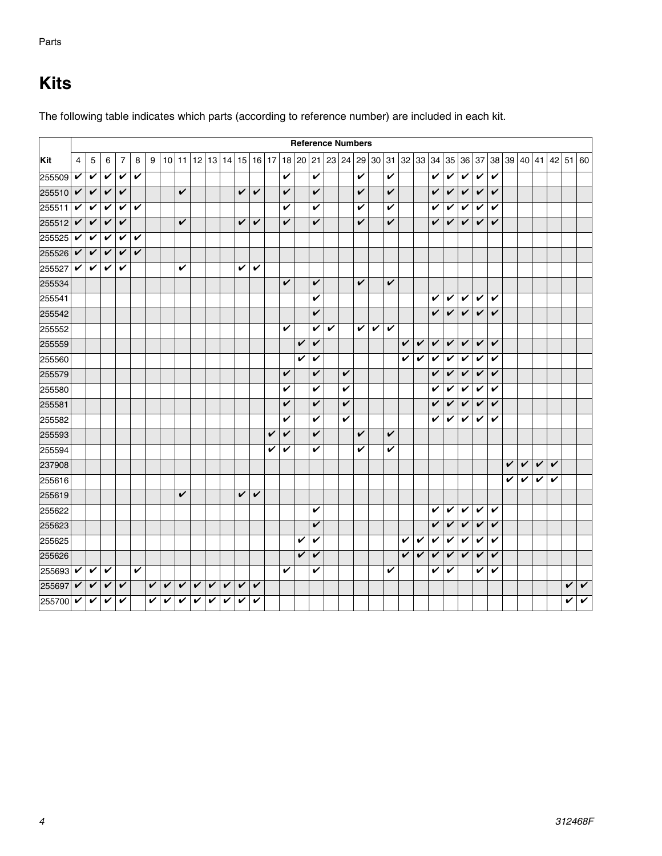# <span id="page-3-0"></span>**Kits**

|        |                |              |              |                |   |   |                 |   |              |             |              |              |                         |   |                         |       |                         | <b>Reference Numbers</b> |   |              |   |                         |              |   |              |                         |              |              |              |   |   |   |                                                             |              |                         |
|--------|----------------|--------------|--------------|----------------|---|---|-----------------|---|--------------|-------------|--------------|--------------|-------------------------|---|-------------------------|-------|-------------------------|--------------------------|---|--------------|---|-------------------------|--------------|---|--------------|-------------------------|--------------|--------------|--------------|---|---|---|-------------------------------------------------------------|--------------|-------------------------|
| Kit    | $\overline{4}$ | $\mathbf 5$  | 6            | $\overline{7}$ | 8 | 9 | 10 <sup>1</sup> |   |              | 11 12 13 14 |              | 15 16 17     |                         |   |                         | 18 20 |                         |                          |   |              |   |                         |              |   |              |                         |              |              |              |   |   |   | $ 21 23 24 29 30 31 32 33 34 35 36 37 38 39 40 41 42 51 60$ |              |                         |
| 255509 | V              | $\checkmark$ | V            | V              | V |   |                 |   |              |             |              |              |                         |   | V                       |       | V                       |                          |   | V            |   | V                       |              |   | V            | V                       | V            | V            | V            |   |   |   |                                                             |              |                         |
| 255510 | $\checkmark$   | V            | V            | V              |   |   |                 | V |              |             |              | $\checkmark$ | $\checkmark$            |   | V                       |       | V                       |                          |   | V            |   | V                       |              |   | V            | V                       | V            | V            | V            |   |   |   |                                                             |              |                         |
| 255511 | $\checkmark$   | V            | V            | V              | V |   |                 |   |              |             |              |              |                         |   | V                       |       | V                       |                          |   | V            |   | V                       |              |   | V            | V                       | V            | V            | V            |   |   |   |                                                             |              |                         |
| 255512 | $\checkmark$   | V            | V            | V              |   |   |                 | V |              |             |              | V            | V                       |   | $\overline{\mathbf{v}}$ |       | V                       |                          |   | V            |   | V                       |              |   | V            | V                       | V            | V            | V            |   |   |   |                                                             |              |                         |
| 255525 | $\checkmark$   | V            | V            | V              | V |   |                 |   |              |             |              |              |                         |   |                         |       |                         |                          |   |              |   |                         |              |   |              |                         |              |              |              |   |   |   |                                                             |              |                         |
| 255526 | $\checkmark$   | V            | V            | V              | V |   |                 |   |              |             |              |              |                         |   |                         |       |                         |                          |   |              |   |                         |              |   |              |                         |              |              |              |   |   |   |                                                             |              |                         |
| 255527 | $\checkmark$   | V            | V            | V              |   |   |                 | V |              |             |              | V            | V                       |   |                         |       |                         |                          |   |              |   |                         |              |   |              |                         |              |              |              |   |   |   |                                                             |              |                         |
| 255534 |                |              |              |                |   |   |                 |   |              |             |              |              |                         |   | $\overline{\mathbf{v}}$ |       | $\checkmark$            |                          |   | V            |   | V                       |              |   |              |                         |              |              |              |   |   |   |                                                             |              |                         |
| 255541 |                |              |              |                |   |   |                 |   |              |             |              |              |                         |   |                         |       | V                       |                          |   |              |   |                         |              |   | V            | V                       | V            | V            | V            |   |   |   |                                                             |              |                         |
| 255542 |                |              |              |                |   |   |                 |   |              |             |              |              |                         |   |                         |       | V                       |                          |   |              |   |                         |              |   | V            | V                       | V            | V            | V            |   |   |   |                                                             |              |                         |
| 255552 |                |              |              |                |   |   |                 |   |              |             |              |              |                         |   | $\overline{\mathbf{v}}$ |       | $\mathbf v$             | V                        |   | $\checkmark$ | V | $\overline{\mathbf{v}}$ |              |   |              |                         |              |              |              |   |   |   |                                                             |              |                         |
| 255559 |                |              |              |                |   |   |                 |   |              |             |              |              |                         |   |                         | V     | $\overline{\mathbf{v}}$ |                          |   |              |   |                         | V            | V | V            | V                       | V            | V            | V            |   |   |   |                                                             |              |                         |
| 255560 |                |              |              |                |   |   |                 |   |              |             |              |              |                         |   |                         | V     | V                       |                          |   |              |   |                         | V            | V | V            | V                       | V            | V            | V            |   |   |   |                                                             |              |                         |
| 255579 |                |              |              |                |   |   |                 |   |              |             |              |              |                         |   | V                       |       | V                       |                          | V |              |   |                         |              |   | $\checkmark$ | $\overline{\mathbf{v}}$ | V            | V            | V            |   |   |   |                                                             |              |                         |
| 255580 |                |              |              |                |   |   |                 |   |              |             |              |              |                         |   | V                       |       | V                       |                          | V |              |   |                         |              |   | V            | V                       | V            | V            | V            |   |   |   |                                                             |              |                         |
| 255581 |                |              |              |                |   |   |                 |   |              |             |              |              |                         |   | $\checkmark$            |       | V                       |                          | V |              |   |                         |              |   | $\checkmark$ | $\checkmark$            | V            | V            | $\checkmark$ |   |   |   |                                                             |              |                         |
| 255582 |                |              |              |                |   |   |                 |   |              |             |              |              |                         |   | V                       |       | V                       |                          | V |              |   |                         |              |   | V            | V                       | V            | V            | V            |   |   |   |                                                             |              |                         |
| 255593 |                |              |              |                |   |   |                 |   |              |             |              |              |                         | V | V                       |       | V                       |                          |   | V            |   | V                       |              |   |              |                         |              |              |              |   |   |   |                                                             |              |                         |
| 255594 |                |              |              |                |   |   |                 |   |              |             |              |              |                         | V | V                       |       | V                       |                          |   | V            |   | V                       |              |   |              |                         |              |              |              |   |   |   |                                                             |              |                         |
| 237908 |                |              |              |                |   |   |                 |   |              |             |              |              |                         |   |                         |       |                         |                          |   |              |   |                         |              |   |              |                         |              |              |              | V | V | V | $\overline{\mathbf{v}}$                                     |              |                         |
| 255616 |                |              |              |                |   |   |                 |   |              |             |              |              |                         |   |                         |       |                         |                          |   |              |   |                         |              |   |              |                         |              |              |              | V | V | V | V                                                           |              |                         |
| 255619 |                |              |              |                |   |   |                 | V |              |             |              | V            | V                       |   |                         |       |                         |                          |   |              |   |                         |              |   |              |                         |              |              |              |   |   |   |                                                             |              |                         |
| 255622 |                |              |              |                |   |   |                 |   |              |             |              |              |                         |   |                         |       | V                       |                          |   |              |   |                         |              |   | V            | V                       | V            | V            | V            |   |   |   |                                                             |              |                         |
| 255623 |                |              |              |                |   |   |                 |   |              |             |              |              |                         |   |                         |       | V                       |                          |   |              |   |                         |              |   | V            | V                       | V            | V            | V            |   |   |   |                                                             |              |                         |
| 255625 |                |              |              |                |   |   |                 |   |              |             |              |              |                         |   |                         | V     | V                       |                          |   |              |   |                         | V            | V | V            | $\checkmark$            | V            | $\checkmark$ | V            |   |   |   |                                                             |              |                         |
| 255626 |                |              |              |                |   |   |                 |   |              |             |              |              |                         |   |                         | V     | V                       |                          |   |              |   |                         | $\checkmark$ | V | $\checkmark$ | V                       | $\checkmark$ | V            | V            |   |   |   |                                                             |              |                         |
| 255693 | V              | V            | V            |                | V |   |                 |   |              |             |              |              |                         |   | V                       |       | V                       |                          |   |              |   | V                       |              |   | V            | V                       |              | V            | V            |   |   |   |                                                             |              |                         |
| 255697 | $\checkmark$   | V            | V            | V              |   | V | V               | V | V            | V           | $\checkmark$ | V            | $\checkmark$            |   |                         |       |                         |                          |   |              |   |                         |              |   |              |                         |              |              |              |   |   |   |                                                             | V            | $\checkmark$            |
| 255700 | $\checkmark$   | $\checkmark$ | $\checkmark$ | V              |   | V | V               | V | $\checkmark$ | V           | V            | V            | $\overline{\mathbf{v}}$ |   |                         |       |                         |                          |   |              |   |                         |              |   |              |                         |              |              |              |   |   |   |                                                             | $\checkmark$ | $\overline{\mathbf{v}}$ |

The following table indicates which parts (according to reference number) are included in each kit.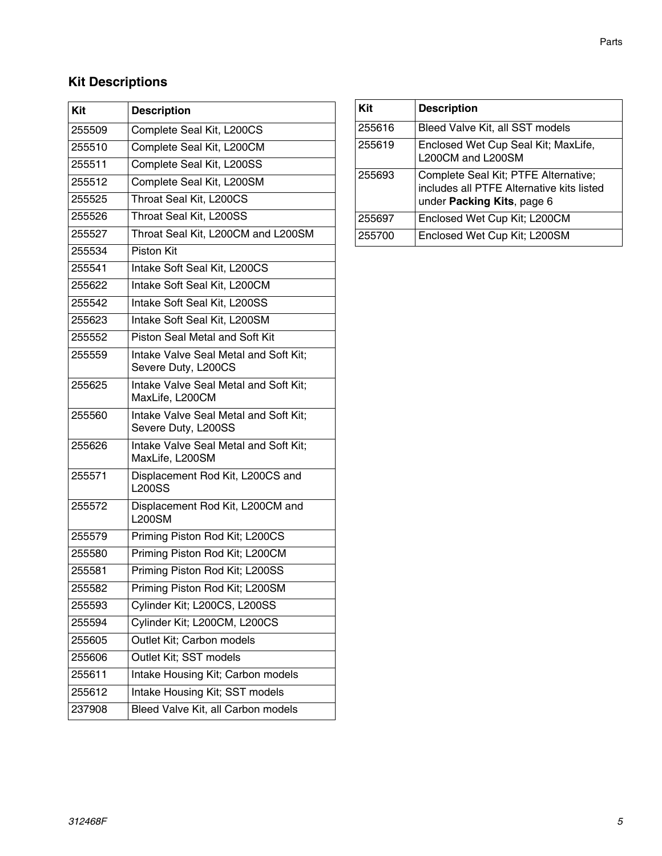#### **Kit Descriptions**

| Kit    | <b>Description</b>                                           |
|--------|--------------------------------------------------------------|
| 255509 | Complete Seal Kit, L200CS                                    |
| 255510 | Complete Seal Kit, L200CM                                    |
| 255511 | Complete Seal Kit, L200SS                                    |
| 255512 |                                                              |
|        | Complete Seal Kit, L200SM                                    |
| 255525 | Throat Seal Kit, L200CS                                      |
| 255526 | Throat Seal Kit, L200SS                                      |
| 255527 | Throat Seal Kit, L200CM and L200SM                           |
| 255534 | <b>Piston Kit</b>                                            |
| 255541 | Intake Soft Seal Kit, L200CS                                 |
| 255622 | Intake Soft Seal Kit, L200CM                                 |
| 255542 | Intake Soft Seal Kit, L200SS                                 |
| 255623 | Intake Soft Seal Kit, L200SM                                 |
| 255552 | Piston Seal Metal and Soft Kit                               |
| 255559 | Intake Valve Seal Metal and Soft Kit;<br>Severe Duty, L200CS |
| 255625 | Intake Valve Seal Metal and Soft Kit;<br>MaxLife, L200CM     |
| 255560 | Intake Valve Seal Metal and Soft Kit;<br>Severe Duty, L200SS |
| 255626 | Intake Valve Seal Metal and Soft Kit;<br>MaxLife, L200SM     |
| 255571 | Displacement Rod Kit, L200CS and<br><b>L200SS</b>            |
| 255572 | Displacement Rod Kit, L200CM and<br><b>L200SM</b>            |
| 255579 | Priming Piston Rod Kit; L200CS                               |
| 255580 | Priming Piston Rod Kit; L200CM                               |
| 255581 | Priming Piston Rod Kit; L200SS                               |
| 255582 | Priming Piston Rod Kit; L200SM                               |
| 255593 | Cylinder Kit; L200CS, L200SS                                 |
| 255594 | Cylinder Kit; L200CM, L200CS                                 |
| 255605 | Outlet Kit; Carbon models                                    |
| 255606 | Outlet Kit; SST models                                       |
| 255611 | Intake Housing Kit; Carbon models                            |
| 255612 | Intake Housing Kit; SST models                               |
| 237908 | Bleed Valve Kit, all Carbon models                           |
|        |                                                              |

| Kit    | <b>Description</b>                                                                                              |
|--------|-----------------------------------------------------------------------------------------------------------------|
| 255616 | Bleed Valve Kit, all SST models                                                                                 |
| 255619 | Enclosed Wet Cup Seal Kit; MaxLife,<br>L200CM and L200SM                                                        |
| 255693 | Complete Seal Kit; PTFE Alternative;<br>includes all PTFE Alternative kits listed<br>under Packing Kits, page 6 |
| 255697 | Enclosed Wet Cup Kit; L200CM                                                                                    |
| 255700 | Enclosed Wet Cup Kit; L200SM                                                                                    |